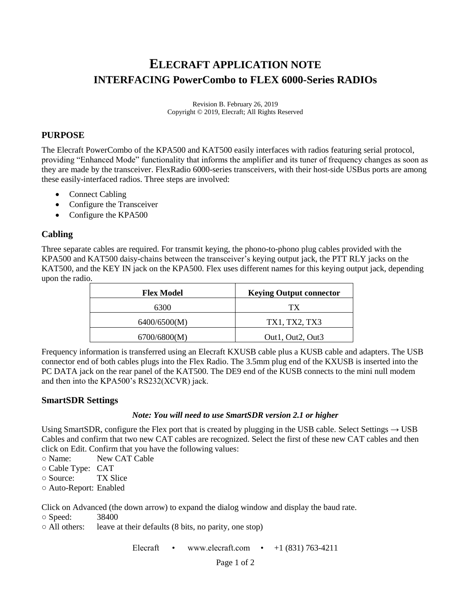# **ELECRAFT APPLICATION NOTE INTERFACING PowerCombo to FLEX 6000-Series RADIOs**

Revision B. February 26, 2019 Copyright © 2019, Elecraft; All Rights Reserved

## **PURPOSE**

The Elecraft PowerCombo of the KPA500 and KAT500 easily interfaces with radios featuring serial protocol, providing "Enhanced Mode" functionality that informs the amplifier and its tuner of frequency changes as soon as they are made by the transceiver. FlexRadio 6000-series transceivers, with their host-side USBus ports are among these easily-interfaced radios. Three steps are involved:

- Connect Cabling
- Configure the Transceiver
- Configure the KPA500

## **Cabling**

Three separate cables are required. For transmit keying, the phono-to-phono plug cables provided with the KPA500 and KAT500 daisy-chains between the transceiver's keying output jack, the PTT RLY jacks on the KAT500, and the KEY IN jack on the KPA500. Flex uses different names for this keying output jack, depending upon the radio.

| <b>Flex Model</b> | <b>Keying Output connector</b> |
|-------------------|--------------------------------|
| 6300              | TX.                            |
| 6400/6500(M)      | TX1, TX2, TX3                  |
| 6700/6800(M)      | Out1, Out2, Out3               |

Frequency information is transferred using an Elecraft KXUSB cable plus a KUSB cable and adapters. The USB connector end of both cables plugs into the Flex Radio. The 3.5mm plug end of the KXUSB is inserted into the PC DATA jack on the rear panel of the KAT500. The DE9 end of the KUSB connects to the mini null modem and then into the KPA500's RS232(XCVR) jack.

### **SmartSDR Settings**

#### *Note: You will need to use SmartSDR version 2.1 or higher*

Using SmartSDR, configure the Flex port that is created by plugging in the USB cable. Select Settings  $\rightarrow$  USB Cables and confirm that two new CAT cables are recognized. Select the first of these new CAT cables and then click on Edit. Confirm that you have the following values:

- Name: New CAT Cable
- Cable Type: CAT
- Source: TX Slice
- Auto-Report: Enabled

Click on Advanced (the down arrow) to expand the dialog window and display the baud rate.

O Speed: 38400<br>○ All others: leave a leave at their defaults (8 bits, no parity, one stop)

Elecraft • www.elecraft.com •  $+1$  (831) 763-4211

Page 1 of 2